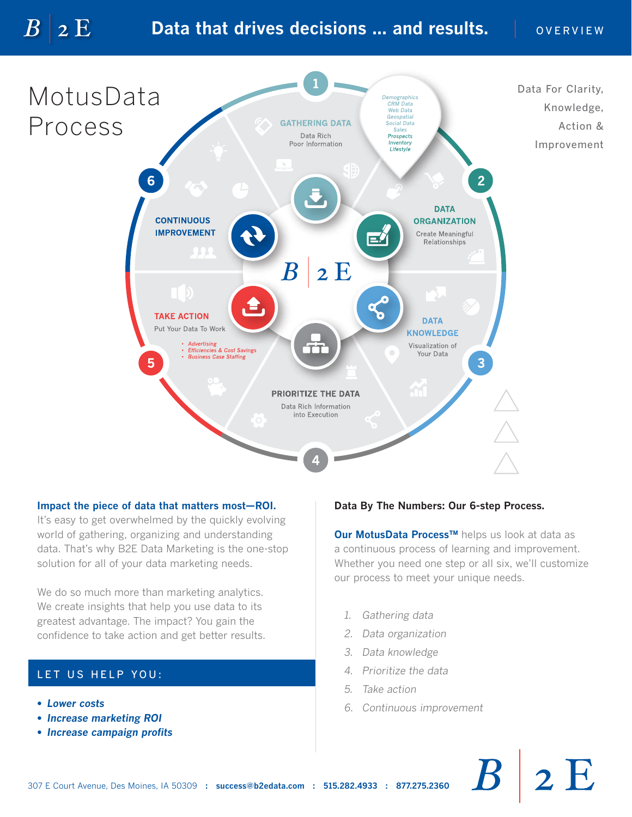# **Data that drives decisions ... and results.** | OVERVIEW



### **Impact the piece of data that matters most—ROI.**

It's easy to get overwhelmed by the quickly evolving world of gathering, organizing and understanding data. That's why B2E Data Marketing is the one-stop solution for all of your data marketing needs.

We do so much more than marketing analytics. We create insights that help you use data to its greatest advantage. The impact? You gain the confidence to take action and get better results.

## LET US HELP YOU:

*• Lower costs*

 $\overline{B}$ 

 $2E$ 

- *Increase marketing ROI*
- *Increase campaign profits*

## **Data By The Numbers: Our 6-step Process.**

**Our MotusData Process™** helps us look at data as a continuous process of learning and improvement. Whether you need one step or all six, we'll customize our process to meet your unique needs.

- *1. Gathering data*
- *2. Data organization*
- *3. Data knowledge*
- *4. Prioritize the data*
- *5. Take action*
- *6. Continuous improvement*